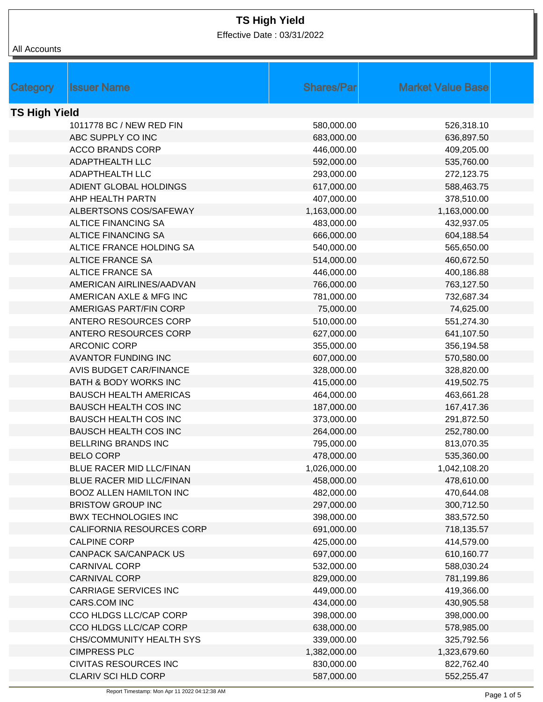Effective Date : 03/31/2022

|                      | <b>Issuer Name</b>               | <b>Shares/Par</b> | <b>Market Value Base</b> |  |
|----------------------|----------------------------------|-------------------|--------------------------|--|
| Category             |                                  |                   |                          |  |
| <b>TS High Yield</b> |                                  |                   |                          |  |
|                      | 1011778 BC / NEW RED FIN         | 580,000.00        | 526,318.10               |  |
|                      | ABC SUPPLY CO INC                | 683,000.00        | 636,897.50               |  |
|                      | <b>ACCO BRANDS CORP</b>          | 446,000.00        | 409,205.00               |  |
|                      | ADAPTHEALTH LLC                  | 592,000.00        | 535,760.00               |  |
|                      | ADAPTHEALTH LLC                  | 293,000.00        | 272,123.75               |  |
|                      | ADIENT GLOBAL HOLDINGS           | 617,000.00        | 588,463.75               |  |
|                      | AHP HEALTH PARTN                 | 407,000.00        | 378,510.00               |  |
|                      | ALBERTSONS COS/SAFEWAY           | 1,163,000.00      | 1,163,000.00             |  |
|                      | <b>ALTICE FINANCING SA</b>       | 483,000.00        | 432,937.05               |  |
|                      | <b>ALTICE FINANCING SA</b>       | 666,000.00        | 604,188.54               |  |
|                      | ALTICE FRANCE HOLDING SA         | 540,000.00        | 565,650.00               |  |
|                      | <b>ALTICE FRANCE SA</b>          | 514,000.00        | 460,672.50               |  |
|                      | <b>ALTICE FRANCE SA</b>          | 446,000.00        | 400,186.88               |  |
|                      | AMERICAN AIRLINES/AADVAN         | 766,000.00        | 763,127.50               |  |
|                      | AMERICAN AXLE & MFG INC          | 781,000.00        | 732,687.34               |  |
|                      | AMERIGAS PART/FIN CORP           | 75,000.00         | 74,625.00                |  |
|                      | ANTERO RESOURCES CORP            | 510,000.00        | 551,274.30               |  |
|                      | ANTERO RESOURCES CORP            | 627,000.00        | 641,107.50               |  |
|                      | <b>ARCONIC CORP</b>              | 355,000.00        | 356,194.58               |  |
|                      | <b>AVANTOR FUNDING INC</b>       | 607,000.00        | 570,580.00               |  |
|                      | <b>AVIS BUDGET CAR/FINANCE</b>   | 328,000.00        | 328,820.00               |  |
|                      | <b>BATH &amp; BODY WORKS INC</b> | 415,000.00        | 419,502.75               |  |
|                      | <b>BAUSCH HEALTH AMERICAS</b>    | 464,000.00        | 463,661.28               |  |
|                      | <b>BAUSCH HEALTH COS INC</b>     | 187,000.00        | 167,417.36               |  |
|                      | <b>BAUSCH HEALTH COS INC</b>     | 373,000.00        | 291,872.50               |  |
|                      | <b>BAUSCH HEALTH COS INC</b>     | 264,000.00        | 252,780.00               |  |
|                      | <b>BELLRING BRANDS INC</b>       | 795,000.00        | 813,070.35               |  |
|                      | <b>BELO CORP</b>                 | 478,000.00        | 535,360.00               |  |
|                      | BLUE RACER MID LLC/FINAN         | 1,026,000.00      | 1,042,108.20             |  |
|                      | BLUE RACER MID LLC/FINAN         | 458,000.00        | 478,610.00               |  |
|                      | <b>BOOZ ALLEN HAMILTON INC</b>   | 482,000.00        | 470,644.08               |  |
|                      | <b>BRISTOW GROUP INC</b>         | 297,000.00        | 300,712.50               |  |
|                      | <b>BWX TECHNOLOGIES INC</b>      | 398,000.00        | 383,572.50               |  |
|                      | CALIFORNIA RESOURCES CORP        | 691,000.00        | 718,135.57               |  |
|                      | <b>CALPINE CORP</b>              | 425,000.00        | 414,579.00               |  |
|                      | <b>CANPACK SA/CANPACK US</b>     | 697,000.00        | 610,160.77               |  |
|                      | <b>CARNIVAL CORP</b>             | 532,000.00        | 588,030.24               |  |
|                      | <b>CARNIVAL CORP</b>             | 829,000.00        | 781,199.86               |  |
|                      | <b>CARRIAGE SERVICES INC</b>     | 449,000.00        | 419,366.00               |  |
|                      | CARS.COM INC                     | 434,000.00        | 430,905.58               |  |
|                      | CCO HLDGS LLC/CAP CORP           | 398,000.00        | 398,000.00               |  |
|                      | CCO HLDGS LLC/CAP CORP           | 638,000.00        | 578,985.00               |  |
|                      | CHS/COMMUNITY HEALTH SYS         | 339,000.00        | 325,792.56               |  |
|                      | <b>CIMPRESS PLC</b>              | 1,382,000.00      | 1,323,679.60             |  |
|                      | <b>CIVITAS RESOURCES INC</b>     | 830,000.00        | 822,762.40               |  |
|                      | CLARIV SCI HLD CORP              | 587,000.00        | 552,255.47               |  |
|                      |                                  |                   |                          |  |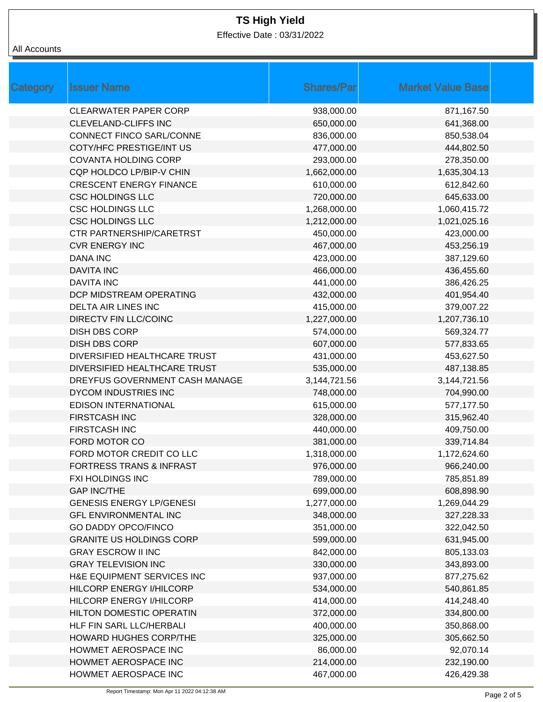Effective Date : 03/31/2022

### All Accounts

| Category | <b>Issuer Name</b>                  | <b>Shares/Par</b> | <b>Market Value Base</b> |
|----------|-------------------------------------|-------------------|--------------------------|
|          | <b>CLEARWATER PAPER CORP</b>        | 938,000.00        | 871,167.50               |
|          | <b>CLEVELAND-CLIFFS INC</b>         | 650,000.00        | 641,368.00               |
|          | CONNECT FINCO SARL/CONNE            | 836,000.00        | 850,538.04               |
|          | COTY/HFC PRESTIGE/INT US            | 477,000.00        | 444,802.50               |
|          | <b>COVANTA HOLDING CORP</b>         | 293,000.00        | 278,350.00               |
|          | CQP HOLDCO LP/BIP-V CHIN            | 1,662,000.00      | 1,635,304.13             |
|          | <b>CRESCENT ENERGY FINANCE</b>      | 610,000.00        | 612,842.60               |
|          | <b>CSC HOLDINGS LLC</b>             | 720,000.00        | 645,633.00               |
|          | <b>CSC HOLDINGS LLC</b>             | 1,268,000.00      | 1,060,415.72             |
|          | <b>CSC HOLDINGS LLC</b>             | 1,212,000.00      | 1,021,025.16             |
|          | <b>CTR PARTNERSHIP/CARETRST</b>     | 450,000.00        | 423,000.00               |
|          | <b>CVR ENERGY INC</b>               | 467,000.00        | 453,256.19               |
|          | <b>DANA INC</b>                     | 423,000.00        | 387,129.60               |
|          | <b>DAVITA INC</b>                   | 466,000.00        | 436,455.60               |
|          | <b>DAVITA INC</b>                   | 441,000.00        | 386,426.25               |
|          | DCP MIDSTREAM OPERATING             | 432,000.00        | 401,954.40               |
|          | DELTA AIR LINES INC                 | 415,000.00        | 379,007.22               |
|          | <b>DIRECTV FIN LLC/COINC</b>        | 1,227,000.00      | 1,207,736.10             |
|          | <b>DISH DBS CORP</b>                | 574,000.00        | 569,324.77               |
|          | <b>DISH DBS CORP</b>                | 607,000.00        | 577,833.65               |
|          | DIVERSIFIED HEALTHCARE TRUST        | 431,000.00        | 453,627.50               |
|          | DIVERSIFIED HEALTHCARE TRUST        | 535,000.00        | 487,138.85               |
|          | DREYFUS GOVERNMENT CASH MANAGE      | 3,144,721.56      | 3,144,721.56             |
|          | <b>DYCOM INDUSTRIES INC</b>         | 748,000.00        | 704,990.00               |
|          | <b>EDISON INTERNATIONAL</b>         | 615,000.00        | 577,177.50               |
|          | <b>FIRSTCASH INC</b>                | 328,000.00        | 315,962.40               |
|          | <b>FIRSTCASH INC</b>                | 440,000.00        | 409,750.00               |
|          | FORD MOTOR CO                       | 381,000.00        | 339,714.84               |
|          | FORD MOTOR CREDIT CO LLC            | 1,318,000.00      | 1,172,624.60             |
|          | <b>FORTRESS TRANS &amp; INFRAST</b> | 976,000.00        | 966,240.00               |
|          | <b>FXI HOLDINGS INC</b>             | 789,000.00        | 785,851.89               |
|          | <b>GAP INC/THE</b>                  | 699,000.00        | 608,898.90               |
|          | <b>GENESIS ENERGY LP/GENESI</b>     | 1,277,000.00      | 1,269,044.29             |
|          | <b>GFL ENVIRONMENTAL INC</b>        | 348,000.00        | 327,228.33               |
|          | <b>GO DADDY OPCO/FINCO</b>          | 351,000.00        | 322,042.50               |
|          | <b>GRANITE US HOLDINGS CORP</b>     | 599,000.00        | 631,945.00               |
|          | <b>GRAY ESCROW II INC</b>           | 842,000.00        | 805,133.03               |
|          | <b>GRAY TELEVISION INC</b>          | 330,000.00        | 343,893.00               |
|          | H&E EQUIPMENT SERVICES INC          | 937,000.00        | 877,275.62               |
|          | HILCORP ENERGY I/HILCORP            | 534,000.00        | 540,861.85               |
|          | HILCORP ENERGY I/HILCORP            | 414,000.00        | 414,248.40               |
|          | HILTON DOMESTIC OPERATIN            | 372,000.00        | 334,800.00               |
|          | HLF FIN SARL LLC/HERBALI            | 400,000.00        | 350,868.00               |
|          | <b>HOWARD HUGHES CORP/THE</b>       | 325,000.00        | 305,662.50               |
|          | HOWMET AEROSPACE INC                | 86,000.00         | 92,070.14                |
|          | HOWMET AEROSPACE INC                | 214,000.00        | 232,190.00               |
|          | HOWMET AEROSPACE INC                | 467,000.00        | 426,429.38               |
|          |                                     |                   |                          |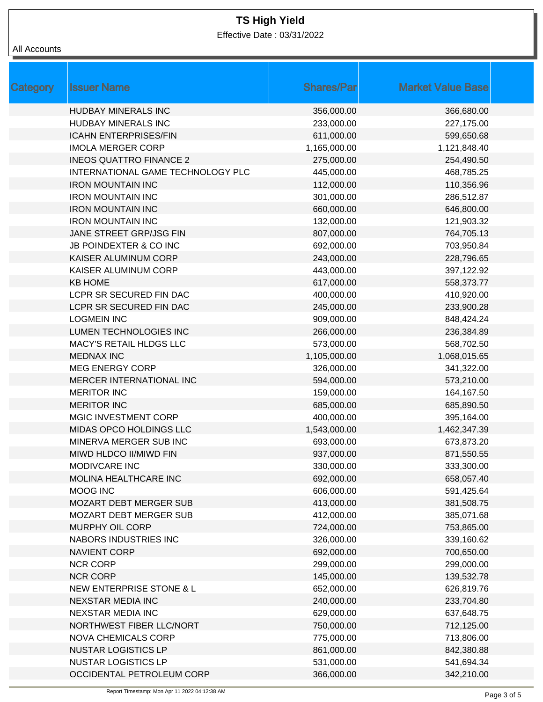Effective Date : 03/31/2022

### All Accounts

| Category | <b>Issuer Name</b>                | <b>Shares/Parl</b> | <b>Market Value Base</b> |
|----------|-----------------------------------|--------------------|--------------------------|
|          | <b>HUDBAY MINERALS INC</b>        | 356,000.00         | 366,680.00               |
|          | HUDBAY MINERALS INC               | 233,000.00         | 227,175.00               |
|          | <b>ICAHN ENTERPRISES/FIN</b>      | 611,000.00         | 599,650.68               |
|          | <b>IMOLA MERGER CORP</b>          | 1,165,000.00       | 1,121,848.40             |
|          | <b>INEOS QUATTRO FINANCE 2</b>    | 275,000.00         | 254,490.50               |
|          | INTERNATIONAL GAME TECHNOLOGY PLC | 445,000.00         | 468,785.25               |
|          | <b>IRON MOUNTAIN INC</b>          | 112,000.00         | 110,356.96               |
|          | <b>IRON MOUNTAIN INC</b>          | 301,000.00         | 286,512.87               |
|          | <b>IRON MOUNTAIN INC</b>          | 660,000.00         | 646,800.00               |
|          | <b>IRON MOUNTAIN INC</b>          | 132,000.00         | 121,903.32               |
|          | JANE STREET GRP/JSG FIN           | 807,000.00         | 764,705.13               |
|          | <b>JB POINDEXTER &amp; CO INC</b> | 692,000.00         | 703,950.84               |
|          | KAISER ALUMINUM CORP              | 243,000.00         | 228,796.65               |
|          | KAISER ALUMINUM CORP              | 443,000.00         | 397,122.92               |
|          | <b>KB HOME</b>                    | 617,000.00         | 558,373.77               |
|          | LCPR SR SECURED FIN DAC           | 400,000.00         | 410,920.00               |
|          | LCPR SR SECURED FIN DAC           | 245,000.00         | 233,900.28               |
|          | <b>LOGMEIN INC</b>                | 909,000.00         | 848,424.24               |
|          | LUMEN TECHNOLOGIES INC            | 266,000.00         | 236,384.89               |
|          | MACY'S RETAIL HLDGS LLC           | 573,000.00         | 568,702.50               |
|          | <b>MEDNAX INC</b>                 | 1,105,000.00       | 1,068,015.65             |
|          | <b>MEG ENERGY CORP</b>            | 326,000.00         | 341,322.00               |
|          | MERCER INTERNATIONAL INC          | 594,000.00         | 573,210.00               |
|          | <b>MERITOR INC</b>                | 159,000.00         | 164,167.50               |
|          | <b>MERITOR INC</b>                | 685,000.00         | 685,890.50               |
|          | MGIC INVESTMENT CORP              | 400,000.00         | 395,164.00               |
|          | MIDAS OPCO HOLDINGS LLC           | 1,543,000.00       | 1,462,347.39             |
|          | MINERVA MERGER SUB INC            | 693,000.00         | 673,873.20               |
|          | MIWD HLDCO II/MIWD FIN            | 937,000.00         | 871,550.55               |
|          | MODIVCARE INC                     | 330,000.00         | 333,300.00               |
|          | MOLINA HEALTHCARE INC             | 692,000.00         | 658,057.40               |
|          | MOOG INC                          | 606,000.00         | 591,425.64               |
|          | <b>MOZART DEBT MERGER SUB</b>     | 413,000.00         | 381,508.75               |
|          | <b>MOZART DEBT MERGER SUB</b>     | 412,000.00         | 385,071.68               |
|          | MURPHY OIL CORP                   | 724,000.00         | 753,865.00               |
|          | NABORS INDUSTRIES INC             | 326,000.00         | 339,160.62               |
|          | <b>NAVIENT CORP</b>               | 692,000.00         | 700,650.00               |
|          | <b>NCR CORP</b>                   | 299,000.00         | 299,000.00               |
|          | <b>NCR CORP</b>                   | 145,000.00         | 139,532.78               |
|          | NEW ENTERPRISE STONE & L          | 652,000.00         | 626,819.76               |
|          | <b>NEXSTAR MEDIA INC</b>          | 240,000.00         | 233,704.80               |
|          | <b>NEXSTAR MEDIA INC</b>          | 629,000.00         | 637,648.75               |
|          | NORTHWEST FIBER LLC/NORT          | 750,000.00         | 712,125.00               |
|          | <b>NOVA CHEMICALS CORP</b>        | 775,000.00         | 713,806.00               |
|          | <b>NUSTAR LOGISTICS LP</b>        | 861,000.00         | 842,380.88               |
|          | <b>NUSTAR LOGISTICS LP</b>        | 531,000.00         | 541,694.34               |
|          | OCCIDENTAL PETROLEUM CORP         | 366,000.00         | 342,210.00               |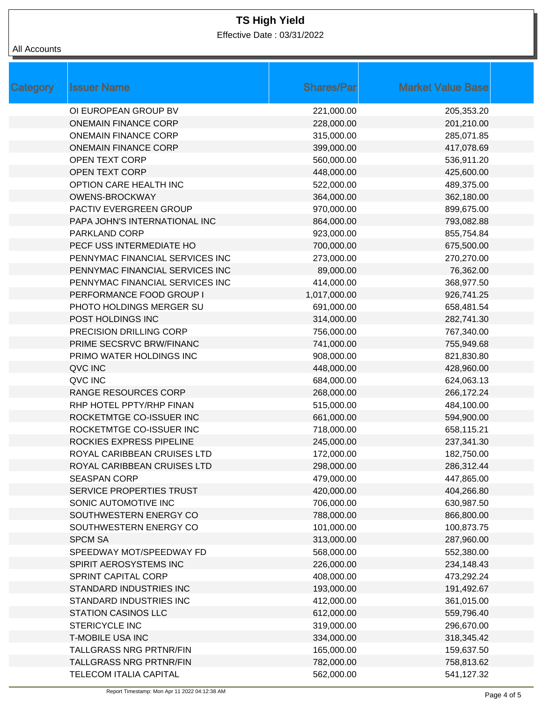Effective Date : 03/31/2022

### All Accounts

| <b>Category</b> | <b>Issuer Name</b>              | <b>Shares/Par</b> | <b>Market Value Base</b> |
|-----------------|---------------------------------|-------------------|--------------------------|
|                 | OI EUROPEAN GROUP BV            | 221,000.00        | 205,353.20               |
|                 | <b>ONEMAIN FINANCE CORP</b>     | 228,000.00        | 201,210.00               |
|                 | <b>ONEMAIN FINANCE CORP</b>     | 315,000.00        | 285,071.85               |
|                 | <b>ONEMAIN FINANCE CORP</b>     | 399,000.00        | 417,078.69               |
|                 | <b>OPEN TEXT CORP</b>           | 560,000.00        | 536,911.20               |
|                 | <b>OPEN TEXT CORP</b>           | 448,000.00        | 425,600.00               |
|                 | OPTION CARE HEALTH INC          | 522,000.00        | 489,375.00               |
|                 | <b>OWENS-BROCKWAY</b>           | 364,000.00        | 362,180.00               |
|                 | PACTIV EVERGREEN GROUP          | 970,000.00        | 899,675.00               |
|                 | PAPA JOHN'S INTERNATIONAL INC   | 864,000.00        | 793,082.88               |
|                 | PARKLAND CORP                   | 923,000.00        | 855,754.84               |
|                 | PECF USS INTERMEDIATE HO        | 700,000.00        | 675,500.00               |
|                 | PENNYMAC FINANCIAL SERVICES INC | 273,000.00        | 270,270.00               |
|                 | PENNYMAC FINANCIAL SERVICES INC | 89,000.00         | 76,362.00                |
|                 | PENNYMAC FINANCIAL SERVICES INC | 414,000.00        | 368,977.50               |
|                 | PERFORMANCE FOOD GROUP I        | 1,017,000.00      | 926,741.25               |
|                 | PHOTO HOLDINGS MERGER SU        | 691,000.00        | 658,481.54               |
|                 | POST HOLDINGS INC               | 314,000.00        | 282,741.30               |
|                 | PRECISION DRILLING CORP         | 756,000.00        | 767,340.00               |
|                 | PRIME SECSRVC BRW/FINANC        | 741,000.00        | 755,949.68               |
|                 | PRIMO WATER HOLDINGS INC        | 908,000.00        | 821,830.80               |
|                 | QVC INC                         | 448,000.00        | 428,960.00               |
|                 | QVC INC                         | 684,000.00        | 624,063.13               |
|                 | <b>RANGE RESOURCES CORP</b>     | 268,000.00        | 266,172.24               |
|                 | RHP HOTEL PPTY/RHP FINAN        | 515,000.00        | 484,100.00               |
|                 | ROCKETMTGE CO-ISSUER INC        | 661,000.00        | 594,900.00               |
|                 | ROCKETMTGE CO-ISSUER INC        | 718,000.00        | 658,115.21               |
|                 | ROCKIES EXPRESS PIPELINE        | 245,000.00        | 237,341.30               |
|                 | ROYAL CARIBBEAN CRUISES LTD     | 172,000.00        | 182,750.00               |
|                 | ROYAL CARIBBEAN CRUISES LTD     | 298,000.00        | 286,312.44               |
|                 | <b>SEASPAN CORP</b>             | 479,000.00        | 447,865.00               |
|                 | SERVICE PROPERTIES TRUST        | 420,000.00        | 404,266.80               |
|                 | SONIC AUTOMOTIVE INC            | 706,000.00        | 630,987.50               |
|                 | SOUTHWESTERN ENERGY CO          | 788,000.00        | 866,800.00               |
|                 | SOUTHWESTERN ENERGY CO          | 101,000.00        | 100,873.75               |
|                 | <b>SPCM SA</b>                  | 313,000.00        | 287,960.00               |
|                 | SPEEDWAY MOT/SPEEDWAY FD        | 568,000.00        | 552,380.00               |
|                 | SPIRIT AEROSYSTEMS INC          | 226,000.00        | 234,148.43               |
|                 | SPRINT CAPITAL CORP             | 408,000.00        | 473,292.24               |
|                 | STANDARD INDUSTRIES INC         | 193,000.00        | 191,492.67               |
|                 | STANDARD INDUSTRIES INC         | 412,000.00        | 361,015.00               |
|                 | <b>STATION CASINOS LLC</b>      | 612,000.00        | 559,796.40               |
|                 | STERICYCLE INC                  | 319,000.00        | 296,670.00               |
|                 | <b>T-MOBILE USA INC</b>         | 334,000.00        | 318,345.42               |
|                 | <b>TALLGRASS NRG PRTNR/FIN</b>  | 165,000.00        | 159,637.50               |
|                 | <b>TALLGRASS NRG PRTNR/FIN</b>  | 782,000.00        | 758,813.62               |
|                 | <b>TELECOM ITALIA CAPITAL</b>   | 562,000.00        | 541,127.32               |